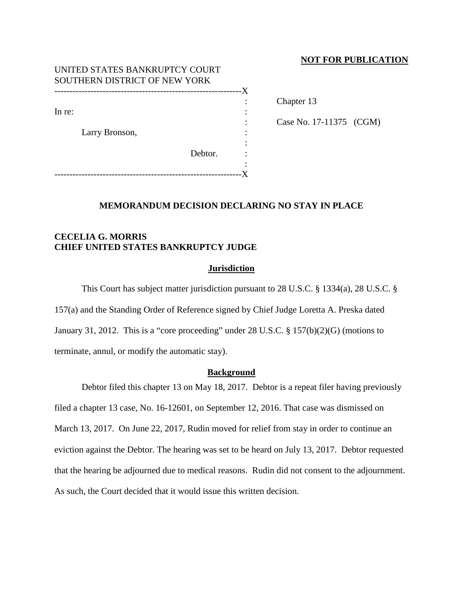### **NOT FOR PUBLICATION**

| UNITED STATES BANKRUPTCY COURT<br>SOUTHERN DISTRICT OF NEW YORK |         |  |
|-----------------------------------------------------------------|---------|--|
|                                                                 |         |  |
|                                                                 |         |  |
| In re:<br>Larry Bronson,                                        |         |  |
|                                                                 |         |  |
|                                                                 |         |  |
|                                                                 |         |  |
|                                                                 | Debtor. |  |
|                                                                 |         |  |
|                                                                 |         |  |

Chapter 13

Case No. 17-11375 (CGM)

### **MEMORANDUM DECISION DECLARING NO STAY IN PLACE**

## **CECELIA G. MORRIS CHIEF UNITED STATES BANKRUPTCY JUDGE**

#### **Jurisdiction**

This Court has subject matter jurisdiction pursuant to 28 U.S.C. § 1334(a), 28 U.S.C. §

157(a) and the Standing Order of Reference signed by Chief Judge Loretta A. Preska dated January 31, 2012. This is a "core proceeding" under 28 U.S.C. § 157(b)(2)(G) (motions to terminate, annul, or modify the automatic stay).

#### **Background**

Debtor filed this chapter 13 on May 18, 2017. Debtor is a repeat filer having previously filed a chapter 13 case, No. 16-12601, on September 12, 2016. That case was dismissed on March 13, 2017. On June 22, 2017, Rudin moved for relief from stay in order to continue an eviction against the Debtor. The hearing was set to be heard on July 13, 2017. Debtor requested that the hearing be adjourned due to medical reasons. Rudin did not consent to the adjournment. As such, the Court decided that it would issue this written decision.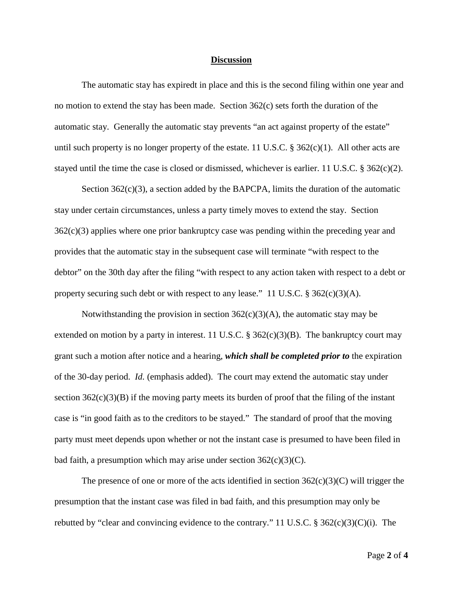#### **Discussion**

The automatic stay has expiredt in place and this is the second filing within one year and no motion to extend the stay has been made. Section 362(c) sets forth the duration of the automatic stay. Generally the automatic stay prevents "an act against property of the estate" until such property is no longer property of the estate. 11 U.S.C. § 362(c)(1). All other acts are stayed until the time the case is closed or dismissed, whichever is earlier. 11 U.S.C. § 362(c)(2).

Section 362(c)(3), a section added by the BAPCPA, limits the duration of the automatic stay under certain circumstances, unless a party timely moves to extend the stay. Section  $362(c)(3)$  applies where one prior bankruptcy case was pending within the preceding year and provides that the automatic stay in the subsequent case will terminate "with respect to the debtor" on the 30th day after the filing "with respect to any action taken with respect to a debt or property securing such debt or with respect to any lease." 11 U.S.C.  $\S 362(c)(3)(A)$ .

Notwithstanding the provision in section  $362(c)(3)(A)$ , the automatic stay may be extended on motion by a party in interest. 11 U.S.C.  $\S 362(c)(3)(B)$ . The bankruptcy court may grant such a motion after notice and a hearing, *which shall be completed prior to* the expiration of the 30-day period. *Id.* (emphasis added). The court may extend the automatic stay under section  $362(c)(3)(B)$  if the moving party meets its burden of proof that the filing of the instant case is "in good faith as to the creditors to be stayed." The standard of proof that the moving party must meet depends upon whether or not the instant case is presumed to have been filed in bad faith, a presumption which may arise under section  $362(c)(3)(C)$ .

The presence of one or more of the acts identified in section  $362(c)(3)(C)$  will trigger the presumption that the instant case was filed in bad faith, and this presumption may only be rebutted by "clear and convincing evidence to the contrary." 11 U.S.C.  $\S 362(c)(3)(C)(i)$ . The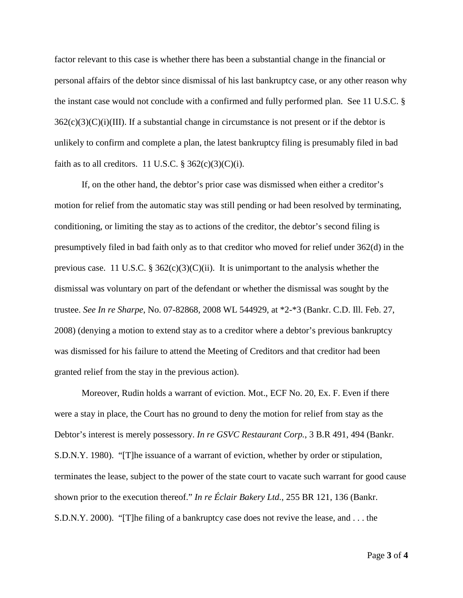factor relevant to this case is whether there has been a substantial change in the financial or personal affairs of the debtor since dismissal of his last bankruptcy case, or any other reason why the instant case would not conclude with a confirmed and fully performed plan. See 11 U.S.C. §  $362(c)(3)(C)(i)(III)$ . If a substantial change in circumstance is not present or if the debtor is unlikely to confirm and complete a plan, the latest bankruptcy filing is presumably filed in bad faith as to all creditors. 11 U.S.C.  $\S 362(c)(3)(C)(i)$ .

If, on the other hand, the debtor's prior case was dismissed when either a creditor's motion for relief from the automatic stay was still pending or had been resolved by terminating, conditioning, or limiting the stay as to actions of the creditor, the debtor's second filing is presumptively filed in bad faith only as to that creditor who moved for relief under 362(d) in the previous case. 11 U.S.C. §  $362(c)(3)(C)(ii)$ . It is unimportant to the analysis whether the dismissal was voluntary on part of the defendant or whether the dismissal was sought by the trustee. *See In re Sharpe*, No. 07-82868, 2008 WL 544929, at \*2-\*3 (Bankr. C.D. Ill. Feb. 27, 2008) (denying a motion to extend stay as to a creditor where a debtor's previous bankruptcy was dismissed for his failure to attend the Meeting of Creditors and that creditor had been granted relief from the stay in the previous action).

Moreover, Rudin holds a warrant of eviction. Mot., ECF No. 20, Ex. F. Even if there were a stay in place, the Court has no ground to deny the motion for relief from stay as the Debtor's interest is merely possessory. *In re GSVC Restaurant Corp.*, 3 B.R 491, 494 (Bankr. S.D.N.Y. 1980). "[T]he issuance of a warrant of eviction, whether by order or stipulation, terminates the lease, subject to the power of the state court to vacate such warrant for good cause shown prior to the execution thereof." *In re Éclair Bakery Ltd.*, 255 BR 121, 136 (Bankr. S.D.N.Y. 2000). "[T]he filing of a bankruptcy case does not revive the lease, and . . . the